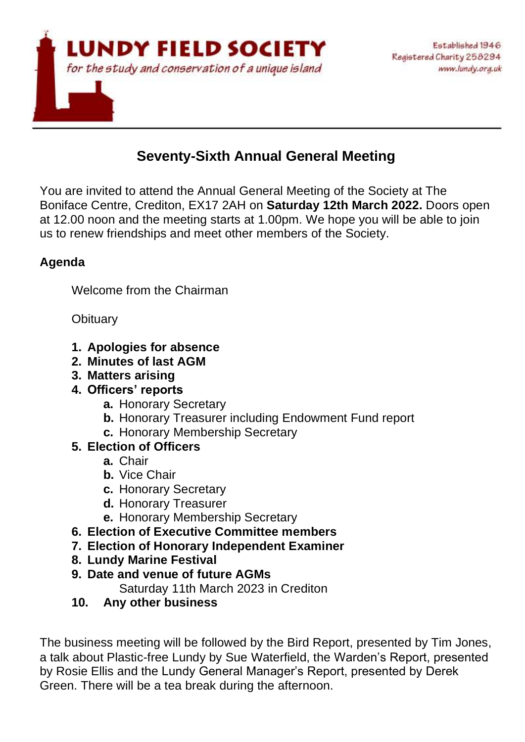

# **Seventy-Sixth Annual General Meeting**

You are invited to attend the Annual General Meeting of the Society at The Boniface Centre, Crediton, EX17 2AH on **Saturday 12th March 2022.** Doors open at 12.00 noon and the meeting starts at 1.00pm. We hope you will be able to join us to renew friendships and meet other members of the Society.

## **Agenda**

Welcome from the Chairman

**Obituary** 

- **1. Apologies for absence**
- **2. Minutes of last AGM**
- **3. Matters arising**
- **4. Officers' reports**
	- **a.** Honorary Secretary
	- **b.** Honorary Treasurer including Endowment Fund report
	- **c.** Honorary Membership Secretary
- **5. Election of Officers**
	- **a.** Chair
	- **b.** Vice Chair
	- **c.** Honorary Secretary
	- **d.** Honorary Treasurer
	- **e.** Honorary Membership Secretary
- **6. Election of Executive Committee members**
- **7. Election of Honorary Independent Examiner**
- **8. Lundy Marine Festival**
- **9. Date and venue of future AGMs**
	- Saturday 11th March 2023 in Crediton
- **10. Any other business**

The business meeting will be followed by the Bird Report, presented by Tim Jones, a talk about Plastic-free Lundy by Sue Waterfield, the Warden's Report, presented by Rosie Ellis and the Lundy General Manager's Report, presented by Derek Green. There will be a tea break during the afternoon.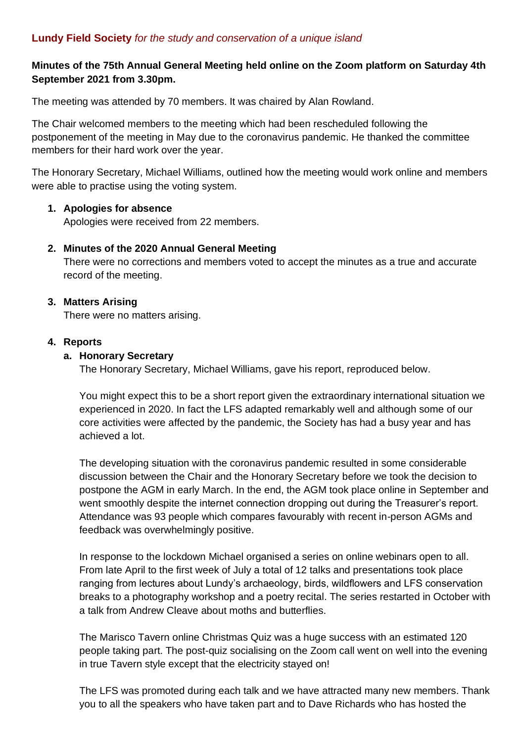## **Minutes of the 75th Annual General Meeting held online on the Zoom platform on Saturday 4th September 2021 from 3.30pm.**

The meeting was attended by 70 members. It was chaired by Alan Rowland.

The Chair welcomed members to the meeting which had been rescheduled following the postponement of the meeting in May due to the coronavirus pandemic. He thanked the committee members for their hard work over the year.

The Honorary Secretary, Michael Williams, outlined how the meeting would work online and members were able to practise using the voting system.

#### **1. Apologies for absence**

Apologies were received from 22 members.

#### **2. Minutes of the 2020 Annual General Meeting**

There were no corrections and members voted to accept the minutes as a true and accurate record of the meeting.

#### **3. Matters Arising**

There were no matters arising.

#### **4. Reports**

#### **a. Honorary Secretary**

The Honorary Secretary, Michael Williams, gave his report, reproduced below.

You might expect this to be a short report given the extraordinary international situation we experienced in 2020. In fact the LFS adapted remarkably well and although some of our core activities were affected by the pandemic, the Society has had a busy year and has achieved a lot.

The developing situation with the coronavirus pandemic resulted in some considerable discussion between the Chair and the Honorary Secretary before we took the decision to postpone the AGM in early March. In the end, the AGM took place online in September and went smoothly despite the internet connection dropping out during the Treasurer's report. Attendance was 93 people which compares favourably with recent in-person AGMs and feedback was overwhelmingly positive.

In response to the lockdown Michael organised a series on online webinars open to all. From late April to the first week of July a total of 12 talks and presentations took place ranging from lectures about Lundy's archaeology, birds, wildflowers and LFS conservation breaks to a photography workshop and a poetry recital. The series restarted in October with a talk from Andrew Cleave about moths and butterflies.

The Marisco Tavern online Christmas Quiz was a huge success with an estimated 120 people taking part. The post-quiz socialising on the Zoom call went on well into the evening in true Tavern style except that the electricity stayed on!

The LFS was promoted during each talk and we have attracted many new members. Thank you to all the speakers who have taken part and to Dave Richards who has hosted the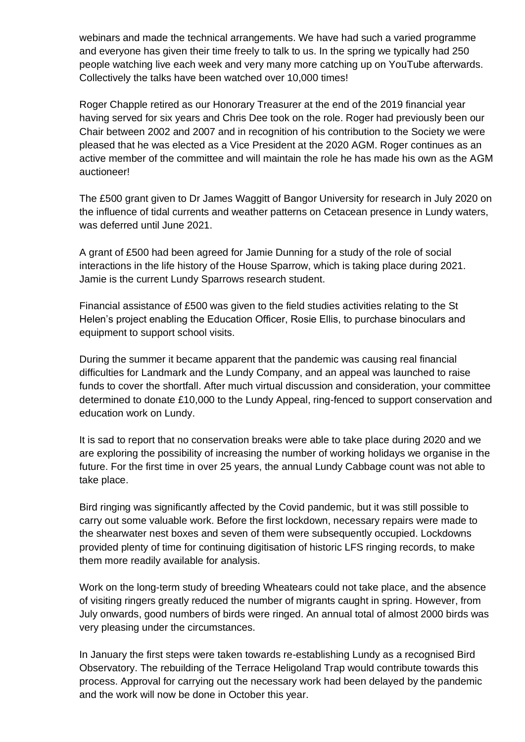webinars and made the technical arrangements. We have had such a varied programme and everyone has given their time freely to talk to us. In the spring we typically had 250 people watching live each week and very many more catching up on YouTube afterwards. Collectively the talks have been watched over 10,000 times!

Roger Chapple retired as our Honorary Treasurer at the end of the 2019 financial year having served for six years and Chris Dee took on the role. Roger had previously been our Chair between 2002 and 2007 and in recognition of his contribution to the Society we were pleased that he was elected as a Vice President at the 2020 AGM. Roger continues as an active member of the committee and will maintain the role he has made his own as the AGM auctioneer!

The £500 grant given to Dr James Waggitt of Bangor University for research in July 2020 on the influence of tidal currents and weather patterns on Cetacean presence in Lundy waters, was deferred until June 2021.

A grant of £500 had been agreed for Jamie Dunning for a study of the role of social interactions in the life history of the House Sparrow, which is taking place during 2021. Jamie is the current Lundy Sparrows research student.

Financial assistance of £500 was given to the field studies activities relating to the St Helen's project enabling the Education Officer, Rosie Ellis, to purchase binoculars and equipment to support school visits.

During the summer it became apparent that the pandemic was causing real financial difficulties for Landmark and the Lundy Company, and an appeal was launched to raise funds to cover the shortfall. After much virtual discussion and consideration, your committee determined to donate £10,000 to the Lundy Appeal, ring-fenced to support conservation and education work on Lundy.

It is sad to report that no conservation breaks were able to take place during 2020 and we are exploring the possibility of increasing the number of working holidays we organise in the future. For the first time in over 25 years, the annual Lundy Cabbage count was not able to take place.

Bird ringing was significantly affected by the Covid pandemic, but it was still possible to carry out some valuable work. Before the first lockdown, necessary repairs were made to the shearwater nest boxes and seven of them were subsequently occupied. Lockdowns provided plenty of time for continuing digitisation of historic LFS ringing records, to make them more readily available for analysis.

Work on the long-term study of breeding Wheatears could not take place, and the absence of visiting ringers greatly reduced the number of migrants caught in spring. However, from July onwards, good numbers of birds were ringed. An annual total of almost 2000 birds was very pleasing under the circumstances.

In January the first steps were taken towards re-establishing Lundy as a recognised Bird Observatory. The rebuilding of the Terrace Heligoland Trap would contribute towards this process. Approval for carrying out the necessary work had been delayed by the pandemic and the work will now be done in October this year.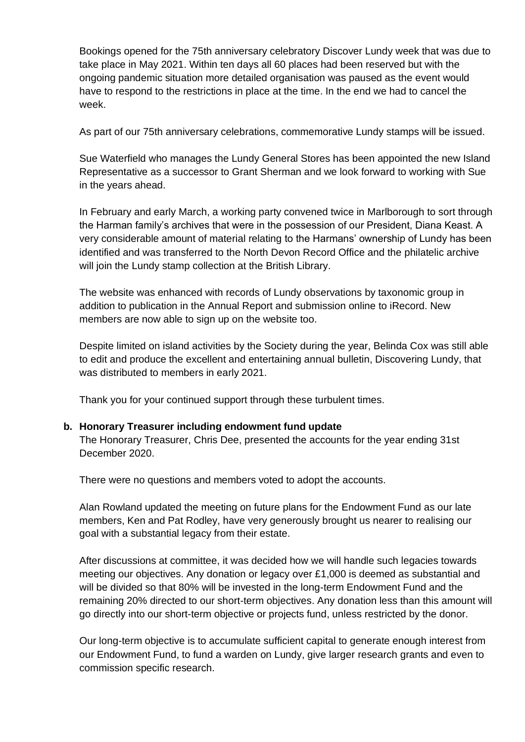Bookings opened for the 75th anniversary celebratory Discover Lundy week that was due to take place in May 2021. Within ten days all 60 places had been reserved but with the ongoing pandemic situation more detailed organisation was paused as the event would have to respond to the restrictions in place at the time. In the end we had to cancel the week.

As part of our 75th anniversary celebrations, commemorative Lundy stamps will be issued.

Sue Waterfield who manages the Lundy General Stores has been appointed the new Island Representative as a successor to Grant Sherman and we look forward to working with Sue in the years ahead.

In February and early March, a working party convened twice in Marlborough to sort through the Harman family's archives that were in the possession of our President, Diana Keast. A very considerable amount of material relating to the Harmans' ownership of Lundy has been identified and was transferred to the North Devon Record Office and the philatelic archive will join the Lundy stamp collection at the British Library.

The website was enhanced with records of Lundy observations by taxonomic group in addition to publication in the Annual Report and submission online to iRecord. New members are now able to sign up on the website too.

Despite limited on island activities by the Society during the year, Belinda Cox was still able to edit and produce the excellent and entertaining annual bulletin, Discovering Lundy, that was distributed to members in early 2021.

Thank you for your continued support through these turbulent times.

#### **b. Honorary Treasurer including endowment fund update**

The Honorary Treasurer, Chris Dee, presented the accounts for the year ending 31st December 2020.

There were no questions and members voted to adopt the accounts.

Alan Rowland updated the meeting on future plans for the Endowment Fund as our late members, Ken and Pat Rodley, have very generously brought us nearer to realising our goal with a substantial legacy from their estate.

After discussions at committee, it was decided how we will handle such legacies towards meeting our objectives. Any donation or legacy over £1,000 is deemed as substantial and will be divided so that 80% will be invested in the long-term Endowment Fund and the remaining 20% directed to our short-term objectives. Any donation less than this amount will go directly into our short-term objective or projects fund, unless restricted by the donor.

Our long-term objective is to accumulate sufficient capital to generate enough interest from our Endowment Fund, to fund a warden on Lundy, give larger research grants and even to commission specific research.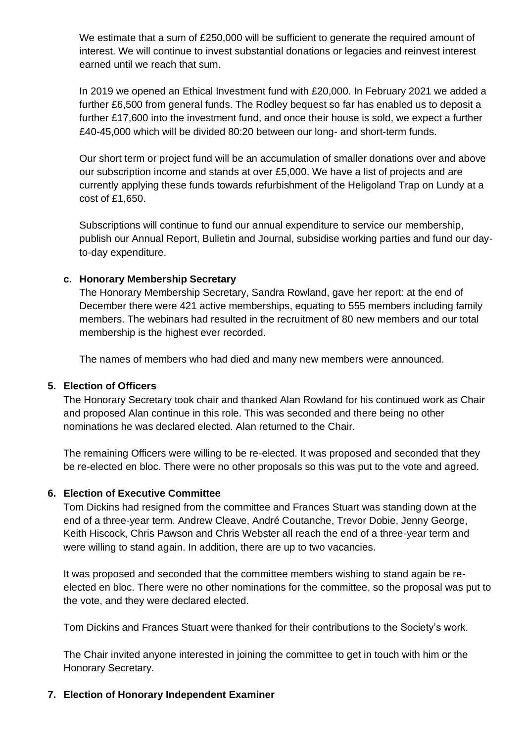We estimate that a sum of £250,000 will be sufficient to generate the required amount of interest. We will continue to invest substantial donations or legacies and reinvest interest earned until we reach that sum.

In 2019 we opened an Ethical Investment fund with £20,000. In February 2021 we added a further £6,500 from general funds. The Rodley bequest so far has enabled us to deposit a further £17,600 into the investment fund, and once their house is sold, we expect a further £40-45,000 which will be divided 80:20 between our long- and short-term funds.

Our short term or project fund will be an accumulation of smaller donations over and above our subscription income and stands at over £5,000. We have a list of projects and are currently applying these funds towards refurbishment of the Heligoland Trap on Lundy at a cost of £1,650.

Subscriptions will continue to fund our annual expenditure to service our membership, publish our Annual Report, Bulletin and Journal, subsidise working parties and fund our dayto-day expenditure.

## **c. Honorary Membership Secretary**

The Honorary Membership Secretary, Sandra Rowland, gave her report: at the end of December there were 421 active memberships, equating to 555 members including family members. The webinars had resulted in the recruitment of 80 new members and our total membership is the highest ever recorded.

The names of members who had died and many new members were announced.

## **5. Election of Officers**

The Honorary Secretary took chair and thanked Alan Rowland for his continued work as Chair and proposed Alan continue in this role. This was seconded and there being no other nominations he was declared elected. Alan returned to the Chair.

The remaining Officers were willing to be re-elected. It was proposed and seconded that they be re-elected en bloc. There were no other proposals so this was put to the vote and agreed.

#### **6. Election of Executive Committee**

Tom Dickins had resigned from the committee and Frances Stuart was standing down at the end of a three-year term. Andrew Cleave, André Coutanche, Trevor Dobie, Jenny George, Keith Hiscock, Chris Pawson and Chris Webster all reach the end of a three-year term and were willing to stand again. In addition, there are up to two vacancies.

It was proposed and seconded that the committee members wishing to stand again be reelected en bloc. There were no other nominations for the committee, so the proposal was put to the vote, and they were declared elected.

Tom Dickins and Frances Stuart were thanked for their contributions to the Society's work.

The Chair invited anyone interested in joining the committee to get in touch with him or the Honorary Secretary.

## **7. Election of Honorary Independent Examiner**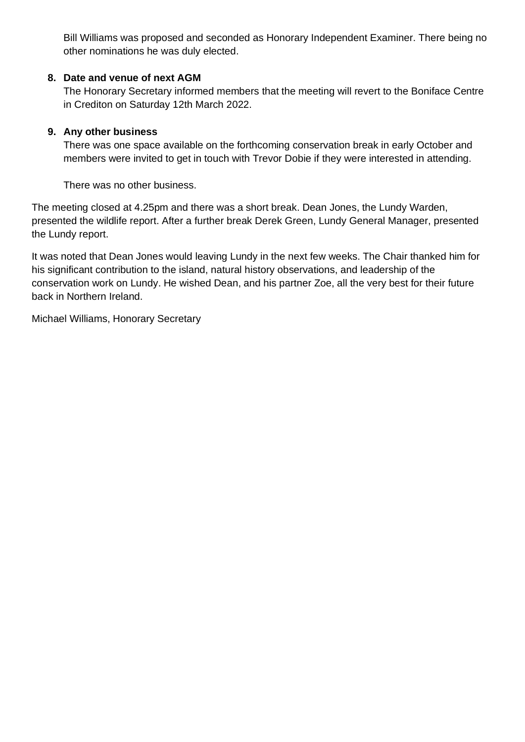Bill Williams was proposed and seconded as Honorary Independent Examiner. There being no other nominations he was duly elected.

## **8. Date and venue of next AGM**

The Honorary Secretary informed members that the meeting will revert to the Boniface Centre in Crediton on Saturday 12th March 2022.

## **9. Any other business**

There was one space available on the forthcoming conservation break in early October and members were invited to get in touch with Trevor Dobie if they were interested in attending.

There was no other business.

The meeting closed at 4.25pm and there was a short break. Dean Jones, the Lundy Warden, presented the wildlife report. After a further break Derek Green, Lundy General Manager, presented the Lundy report.

It was noted that Dean Jones would leaving Lundy in the next few weeks. The Chair thanked him for his significant contribution to the island, natural history observations, and leadership of the conservation work on Lundy. He wished Dean, and his partner Zoe, all the very best for their future back in Northern Ireland.

Michael Williams, Honorary Secretary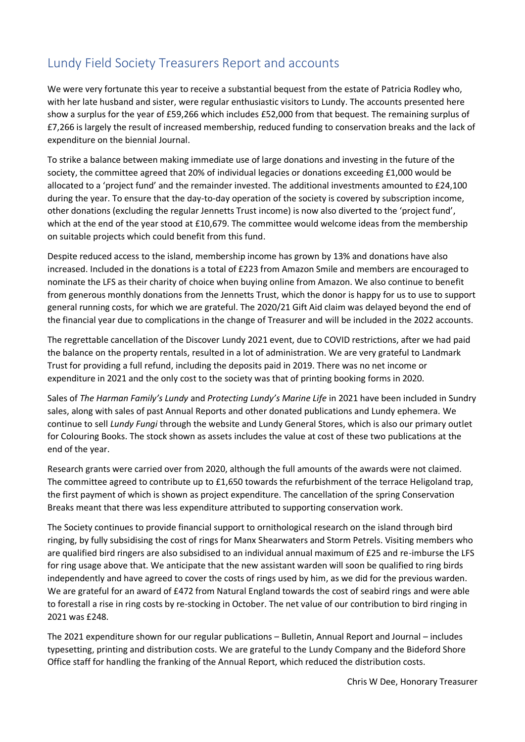## Lundy Field Society Treasurers Report and accounts

We were very fortunate this year to receive a substantial bequest from the estate of Patricia Rodley who, with her late husband and sister, were regular enthusiastic visitors to Lundy. The accounts presented here show a surplus for the year of £59,266 which includes £52,000 from that bequest. The remaining surplus of £7,266 is largely the result of increased membership, reduced funding to conservation breaks and the lack of expenditure on the biennial Journal.

To strike a balance between making immediate use of large donations and investing in the future of the society, the committee agreed that 20% of individual legacies or donations exceeding £1,000 would be allocated to a 'project fund' and the remainder invested. The additional investments amounted to £24,100 during the year. To ensure that the day-to-day operation of the society is covered by subscription income, other donations (excluding the regular Jennetts Trust income) is now also diverted to the 'project fund', which at the end of the year stood at £10,679. The committee would welcome ideas from the membership on suitable projects which could benefit from this fund.

Despite reduced access to the island, membership income has grown by 13% and donations have also increased. Included in the donations is a total of £223 from Amazon Smile and members are encouraged to nominate the LFS as their charity of choice when buying online from Amazon. We also continue to benefit from generous monthly donations from the Jennetts Trust, which the donor is happy for us to use to support general running costs, for which we are grateful. The 2020/21 Gift Aid claim was delayed beyond the end of the financial year due to complications in the change of Treasurer and will be included in the 2022 accounts.

The regrettable cancellation of the Discover Lundy 2021 event, due to COVID restrictions, after we had paid the balance on the property rentals, resulted in a lot of administration. We are very grateful to Landmark Trust for providing a full refund, including the deposits paid in 2019. There was no net income or expenditure in 2021 and the only cost to the society was that of printing booking forms in 2020.

Sales of *The Harman Family's Lundy* and *Protecting Lundy's Marine Life* in 2021 have been included in Sundry sales, along with sales of past Annual Reports and other donated publications and Lundy ephemera. We continue to sell *Lundy Fungi* through the website and Lundy General Stores, which is also our primary outlet for Colouring Books. The stock shown as assets includes the value at cost of these two publications at the end of the year.

Research grants were carried over from 2020, although the full amounts of the awards were not claimed. The committee agreed to contribute up to £1,650 towards the refurbishment of the terrace Heligoland trap, the first payment of which is shown as project expenditure. The cancellation of the spring Conservation Breaks meant that there was less expenditure attributed to supporting conservation work.

The Society continues to provide financial support to ornithological research on the island through bird ringing, by fully subsidising the cost of rings for Manx Shearwaters and Storm Petrels. Visiting members who are qualified bird ringers are also subsidised to an individual annual maximum of £25 and re-imburse the LFS for ring usage above that. We anticipate that the new assistant warden will soon be qualified to ring birds independently and have agreed to cover the costs of rings used by him, as we did for the previous warden. We are grateful for an award of £472 from Natural England towards the cost of seabird rings and were able to forestall a rise in ring costs by re-stocking in October. The net value of our contribution to bird ringing in 2021 was £248.

The 2021 expenditure shown for our regular publications – Bulletin, Annual Report and Journal – includes typesetting, printing and distribution costs. We are grateful to the Lundy Company and the Bideford Shore Office staff for handling the franking of the Annual Report, which reduced the distribution costs.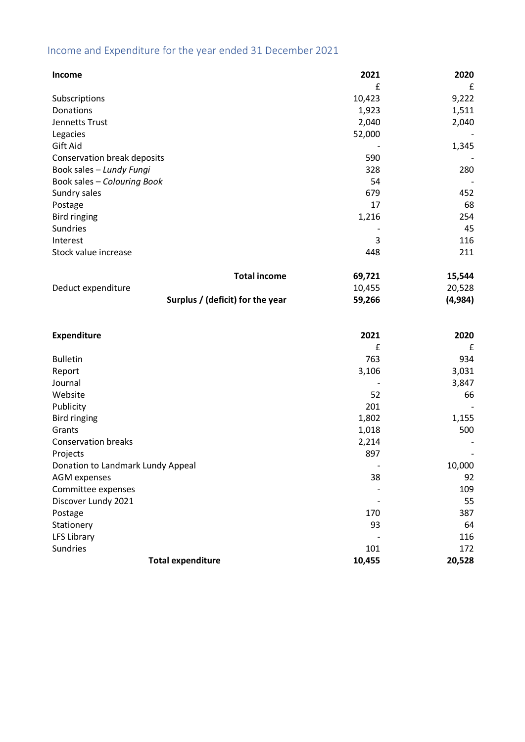# Income and Expenditure for the year ended 31 December 2021

| Income                            | 2021   | 2020     |
|-----------------------------------|--------|----------|
|                                   | £      | £        |
| Subscriptions                     | 10,423 | 9,222    |
| Donations                         | 1,923  | 1,511    |
| Jennetts Trust                    | 2,040  | 2,040    |
| Legacies                          | 52,000 |          |
| Gift Aid                          |        | 1,345    |
| Conservation break deposits       | 590    |          |
| Book sales - Lundy Fungi          | 328    | 280      |
| Book sales - Colouring Book       | 54     |          |
| Sundry sales                      | 679    | 452      |
| Postage                           | 17     | 68       |
| <b>Bird ringing</b>               | 1,216  | 254      |
| Sundries                          |        | 45       |
| Interest                          | 3      | 116      |
| Stock value increase              | 448    | 211      |
| <b>Total income</b>               | 69,721 | 15,544   |
| Deduct expenditure                | 10,455 | 20,528   |
| Surplus / (deficit) for the year  | 59,266 | (4, 984) |
|                                   |        |          |
| <b>Expenditure</b>                | 2021   | 2020     |
|                                   | £      | £        |
| <b>Bulletin</b>                   | 763    | 934      |
| Report                            | 3,106  | 3,031    |
| Journal                           |        | 3,847    |
| Website                           | 52     | 66       |
| Publicity                         | 201    |          |
| <b>Bird ringing</b>               | 1,802  | 1,155    |
| Grants                            | 1,018  | 500      |
| <b>Conservation breaks</b>        | 2,214  |          |
| Projects                          | 897    |          |
| Donation to Landmark Lundy Appeal |        | 10,000   |
| <b>AGM</b> expenses               | 38     | 92       |
| Committee expenses                |        | 109      |
| Discover Lundy 2021               |        | 55       |
| Postage                           | 170    | 387      |
| Stationery                        | 93     | 64       |
| LFS Library                       |        | 116      |
| Sundries                          | 101    | 172      |
| <b>Total expenditure</b>          | 10,455 | 20,528   |